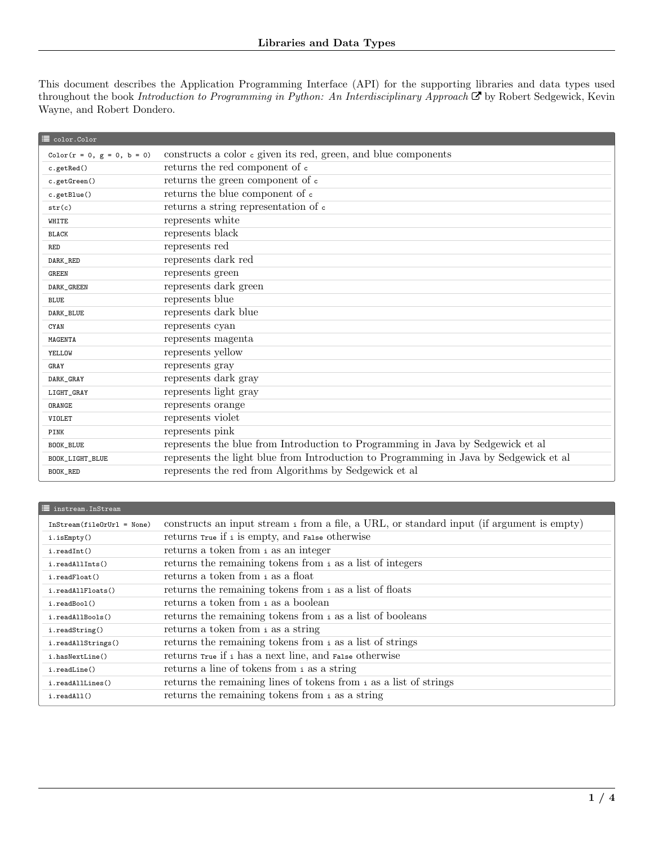This document describes the Application Programming Interface (API) for the supporting libraries and data types used throughout the book [Introduction to Programming in Python: An Interdisciplinary Approach](http://www.amazon.com/Introduction-Programming-Python-Interdisciplinary-Approach/dp/0134076435/)  $\mathcal G$  by Robert Sedgewick, Kevin Wayne, and Robert Dondero.

| <sup>■</sup> color.Color     |                                                                                        |
|------------------------------|----------------------------------------------------------------------------------------|
| $Color(r = 0, g = 0, b = 0)$ | constructs a color c given its red, green, and blue components                         |
| c.getRed()                   | returns the red component of $\mathtt{c}$                                              |
| c.getGreen()                 | returns the green component of c                                                       |
| c.getBlue()                  | returns the blue component of c                                                        |
| str(c)                       | returns a string representation of c                                                   |
| WHITE                        | represents white                                                                       |
| <b>BLACK</b>                 | represents black                                                                       |
| <b>RED</b>                   | represents red                                                                         |
| DARK_RED                     | represents dark red                                                                    |
| <b>GREEN</b>                 | represents green                                                                       |
| DARK_GREEN                   | represents dark green                                                                  |
| <b>BLUE</b>                  | represents blue                                                                        |
| DARK_BLUE                    | represents dark blue                                                                   |
| CYAN                         | represents cyan                                                                        |
| MAGENTA                      | represents magenta                                                                     |
| YELLOW                       | represents yellow                                                                      |
| GRAY                         | represents gray                                                                        |
| DARK_GRAY                    | represents dark gray                                                                   |
| LIGHT_GRAY                   | represents light gray                                                                  |
| ORANGE                       | represents orange                                                                      |
| VIOLET                       | represents violet                                                                      |
| PINK                         | represents pink                                                                        |
| BOOK_BLUE                    | represents the blue from Introduction to Programming in Java by Sedgewick et al        |
| BOOK_LIGHT_BLUE              | represents the light blue from Introduction to Programming in Java by Sedgewick et al. |
| BOOK_RED                     | represents the red from Algorithms by Sedgewick et al                                  |

## $\mathbf{u}$  instream. InStream InStream(fileOrUrl = None) constructs an input stream <sup>i</sup> from a file, a URL, or standard input (if argument is empty) i.isEmpty() returns True if <sup>i</sup> is empty, and False otherwise i.readInt() returns a token from <sup>i</sup> as an integer i.readAllInts() returns the remaining tokens from <sup>i</sup> as a list of integers i.readFloat() returns a token from <sup>i</sup> as a float i.readAllFloats() returns the remaining tokens from <sup>i</sup> as a list of floats i.readBool() returns a token from <sup>i</sup> as a boolean i.readAllBools() returns the remaining tokens from <sup>i</sup> as a list of booleans i.readString() returns a token from i as a string i.readAllStrings() returns the remaining tokens from i as a list of strings i.hasNextLine() returns True if <sup>i</sup> has a next line, and False otherwise i.readLine() returns a line of tokens from <sup>i</sup> as a string i.readAllLines() returns the remaining lines of tokens from <sup>i</sup> as a list of strings i.readAll() returns the remaining tokens from <sup>i</sup> as a string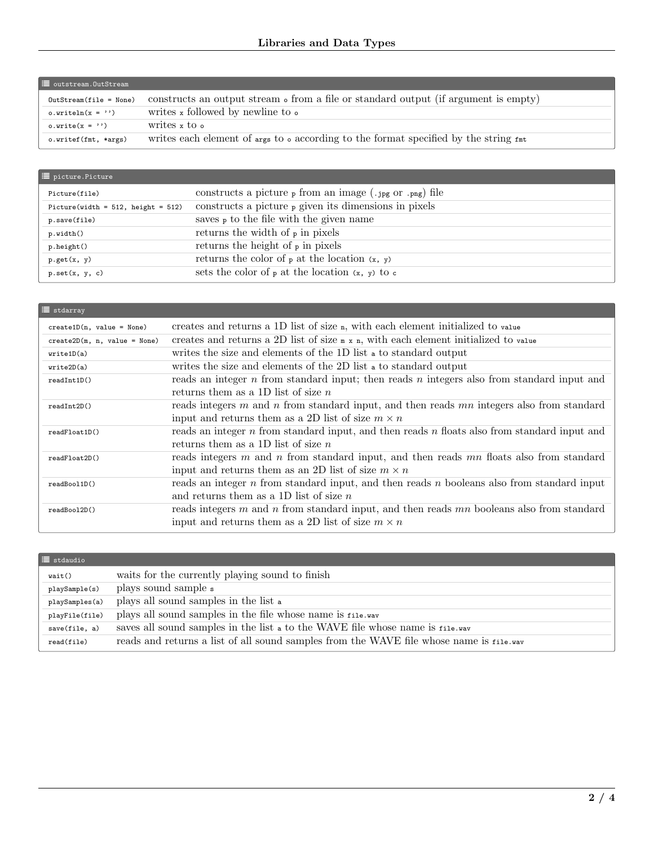| <b>E</b> outstream. OutStream |                                                                                                                                       |  |
|-------------------------------|---------------------------------------------------------------------------------------------------------------------------------------|--|
| $OutStream(file = None)$      | constructs an output stream $\circ$ from a file or standard output (if argument is empty)                                             |  |
| o.writeln $(x = \prime)$      | writes x followed by newline to $\circ$                                                                                               |  |
| o.write $(x = \cdots)$        | writes x to $\circ$                                                                                                                   |  |
| o.writef(fmt, *args)          | writes each element of $\Delta_{\text{ergs}}$ to $\Delta_{\text{o}}$ according to the format specified by the string $f_{\text{int}}$ |  |

| picture.Picture                          |                                                                   |
|------------------------------------------|-------------------------------------------------------------------|
| Picture(file)                            | constructs a picture $_{\rm P}$ from an image (.jpg or .png) file |
| Picture(width = $512$ , height = $512$ ) | constructs a picture $_{P}$ given its dimensions in pixels        |
| p.save(file)                             | saves $\frac{1}{p}$ to the file with the given name               |
| p.width()                                | returns the width of $\frac{1}{p}$ in pixels                      |
| p.height()                               | returns the height of $\frac{1}{p}$ in pixels                     |
| p.get(x, y)                              | returns the color of $\varphi$ at the location $(x, y)$           |
| p.set(x, y, c)                           | sets the color of $_{P}$ at the location $(x, y)$ to $c$          |

| $\equiv$ stdarray              |                                                                                                                                                             |
|--------------------------------|-------------------------------------------------------------------------------------------------------------------------------------------------------------|
| $create1D(n, value = None)$    | creates and returns a 1D list of size n, with each element initialized to value                                                                             |
| $create2D(m, n, value = None)$ | creates and returns a 2D list of size $m \times n$ , with each element initialized to value                                                                 |
| write1D(a)                     | writes the size and elements of the 1D list a to standard output                                                                                            |
| write2D(a)                     | writes the size and elements of the 2D list a to standard output                                                                                            |
| readInt1D()                    | reads an integer $n$ from standard input; then reads $n$ integers also from standard input and<br>returns them as a 1D list of size $n$                     |
| readInt2D()                    | reads integers $m$ and $n$ from standard input, and then reads $mn$ integers also from standard<br>input and returns them as a 2D list of size $m \times n$ |
| readFloat1D()                  | reads an integer n from standard input, and then reads n floats also from standard input and<br>returns them as a 1D list of size $n$                       |
| readFloat2D()                  | reads integers $m$ and $n$ from standard input, and then reads $mn$ floats also from standard<br>input and returns them as an 2D list of size $m \times n$  |
| readBool1D()                   | reads an integer $n$ from standard input, and then reads $n$ booleans also from standard input<br>and returns them as a 1D list of size $n$                 |
| readBool2D()                   | reads integers m and n from standard input, and then reads mn booleans also from standard<br>input and returns them as a 2D list of size $m \times n$       |

| $\equiv$ stdaudio |                                                                                         |
|-------------------|-----------------------------------------------------------------------------------------|
| wait()            | waits for the currently playing sound to finish                                         |
| playSample(s)     | plays sound sample s                                                                    |
| playSamples(a)    | plays all sound samples in the list a                                                   |
| playFile(file)    | plays all sound samples in the file whose name is file.wav                              |
| save(file, a)     | saves all sound samples in the list a to the WAVE file whose name is file way           |
| read(file)        | reads and returns a list of all sound samples from the WAVE file whose name is file way |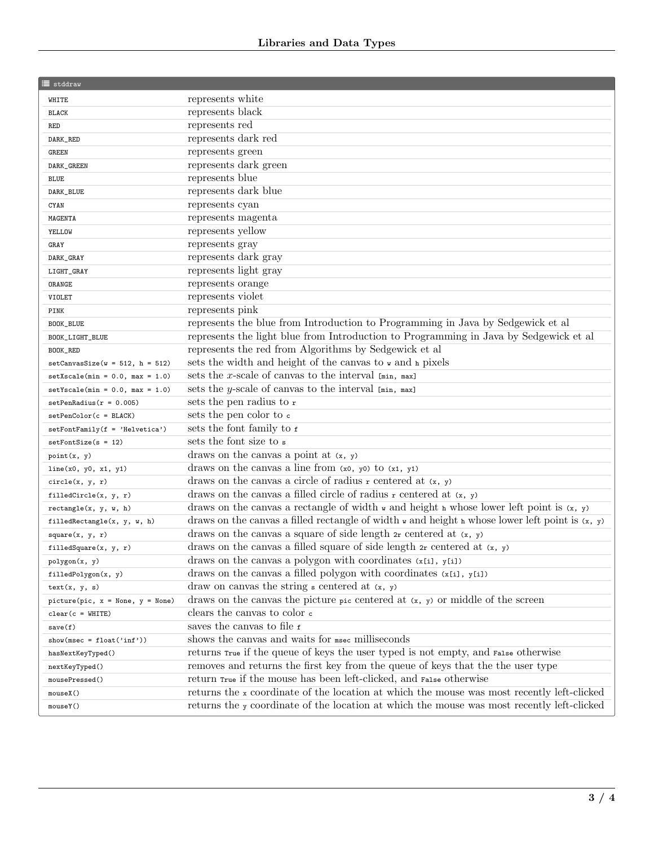| <b>E</b> stddraw                   |                                                                                                                           |
|------------------------------------|---------------------------------------------------------------------------------------------------------------------------|
| WHITE                              | represents white                                                                                                          |
| <b>BLACK</b>                       | represents black                                                                                                          |
| <b>RED</b>                         | represents red                                                                                                            |
| DARK_RED                           | represents dark red                                                                                                       |
| <b>GREEN</b>                       | represents green                                                                                                          |
| DARK_GREEN                         | represents dark green                                                                                                     |
| <b>BLUE</b>                        | represents blue                                                                                                           |
| DARK_BLUE                          | represents dark blue                                                                                                      |
| CYAN                               | represents cyan                                                                                                           |
| MAGENTA                            | represents magenta                                                                                                        |
| YELLOW                             | represents yellow                                                                                                         |
| GRAY                               | represents gray                                                                                                           |
| DARK_GRAY                          | represents dark gray                                                                                                      |
| LIGHT_GRAY                         | represents light gray                                                                                                     |
| ORANGE                             | represents orange                                                                                                         |
| VIOLET                             | represents violet                                                                                                         |
| PINK                               | represents pink                                                                                                           |
| BOOK_BLUE                          | represents the blue from Introduction to Programming in Java by Sedgewick et al                                           |
| BOOK_LIGHT_BLUE                    | represents the light blue from Introduction to Programming in Java by Sedgewick et al                                     |
| BOOK_RED                           | represents the red from Algorithms by Sedgewick et al                                                                     |
| $setConvasSize(w = 512, h = 512)$  | sets the width and height of the canvas to w and h pixels                                                                 |
| $setXscale(min = 0.0, max = 1.0)$  | sets the x-scale of canvas to the interval $[\min, \max]$                                                                 |
| $setYscale(min = 0.0, max = 1.0)$  | sets the y-scale of canvas to the interval $[\min, \max]$                                                                 |
| $setPenRadius(r = 0.005)$          | sets the pen radius to r                                                                                                  |
| $setPenColor(c = BLACK)$           | sets the pen color to c                                                                                                   |
| $setFontFamily(f = 'Helvetica')$   | sets the font family to f                                                                                                 |
| $setFontSize(s = 12)$              | sets the font size to s                                                                                                   |
| point(x, y)                        | draws on the canvas a point at $(x, y)$                                                                                   |
| line(x0, y0, x1, y1)               | draws on the canvas a line from $(x0, y0)$ to $(x1, y1)$                                                                  |
| circle(x, y, r)                    | draws on the canvas a circle of radius $r$ centered at $(x, y)$                                                           |
| filledCircle(x, y, r)              | draws on the canvas a filled circle of radius r centered at $(x, y)$                                                      |
| rectangle(x, y, w, h)              | draws on the canvas a rectangle of width $\bf{v}$ and height $\bf{h}$ whose lower left point is $(x, y)$                  |
| filledRectangle(x, y, w, h)        | draws on the canvas a filled rectangle of width $\bf{v}$ and height $\bf{h}$ whose lower left point is $(\bf{x}, \bf{y})$ |
| square(x, y, r)                    | draws on the canvas a square of side length $2r$ centered at $(x, y)$                                                     |
| filledSquare(x, y, r)              | draws on the canvas a filled square of side length $2r$ centered at $(x, y)$                                              |
| polygon(x, y)                      | draws on the canvas a polygon with coordinates $(x[i], y[i])$                                                             |
| filledPolygon(x, y)                | draws on the canvas a filled polygon with coordinates $(x[i], y[i])$                                                      |
| text(x, y, s)                      | draw on canvas the string $s$ centered at $(x, y)$                                                                        |
| $picture(pic, x = None, y = None)$ | draws on the canvas the picture pic centered at $(x, y)$ or middle of the screen                                          |
| $clear(c = WHICHTE)$               | clears the canvas to color $\epsilon$                                                                                     |
| save(f)                            | saves the canvas to file f                                                                                                |
| $show(msec = float('inf'))$        | shows the canvas and waits for msec milliseconds                                                                          |
| hasNextKeyTyped()                  | returns True if the queue of keys the user typed is not empty, and False otherwise                                        |
| nextKeyTyped()                     | removes and returns the first key from the queue of keys that the the user type                                           |
| mousePressed()                     | return True if the mouse has been left-clicked, and False otherwise                                                       |
| mouseX()                           | returns the x coordinate of the location at which the mouse was most recently left-clicked                                |
| mouseY()                           | returns the y coordinate of the location at which the mouse was most recently left-clicked                                |